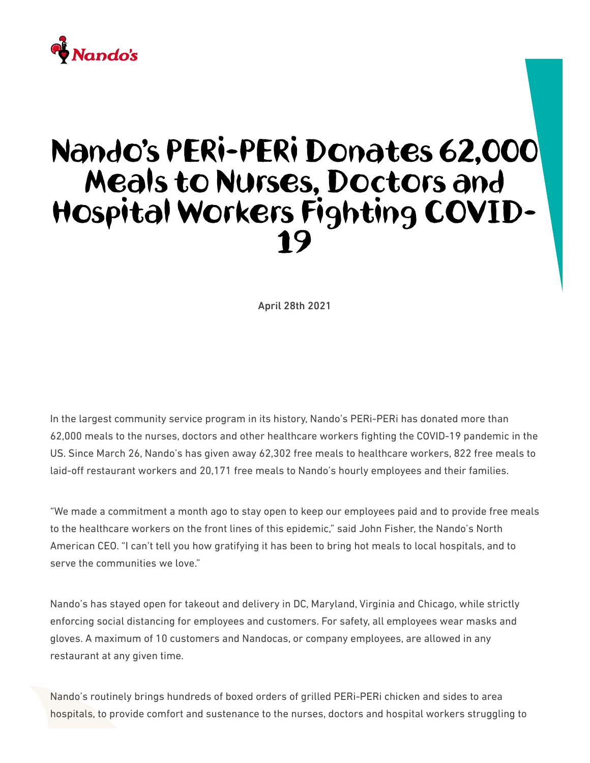## $\stackrel{\bullet}{\blacklozenge}$  Nando's

## Nando's PERi-PERi Donates 62,000 Meals to Nurses, Doctors and Hospital Workers Fighting COVID-19

April 28th 2021

In the largest community service program in its history, Nando's PERi-PERi has donated more than 62,000 meals to the nurses, doctors and other healthcare workers fighting the COVID-19 pandemic in the US. Since March 26, Nando's has given away 62,302 free meals to healthcare workers, 822 free meals to laid-off restaurant workers and 20,171 free meals to Nando's hourly employees and their families.

"We made a commitment a month ago to stay open to keep our employees paid and to provide free meals to the healthcare workers on the front lines of this epidemic," said John Fisher, the Nando's North American CEO. "I can't tell you how gratifying it has been to bring hot meals to local hospitals, and to serve the communities we love."

Nando's has stayed open for takeout and delivery in DC, Maryland, Virginia and Chicago, while strictly enforcing social distancing for employees and customers. For safety, all employees wear masks and gloves. A maximum of 10 customers and Nandocas, or company employees, are allowed in any restaurant at any given time.

Nando's routinely brings hundreds of boxed orders of grilled PERi-PERi chicken and sides to area hospitals, to provide comfort and sustenance to the nurses, doctors and hospital workers struggling to